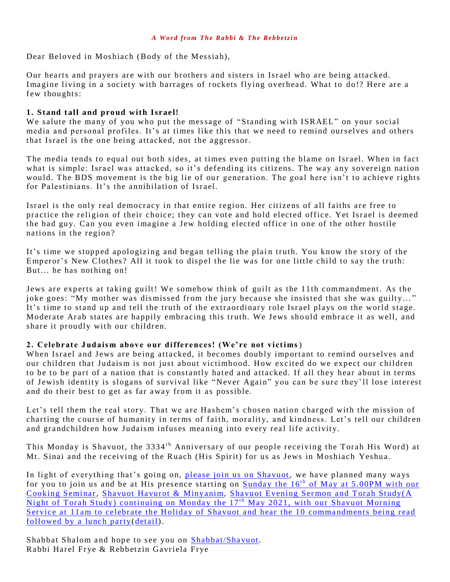Dear Beloved in Moshiach (Body of the Messiah),

Our hearts and prayers are with our brothers and sisters in Israel who are being attacked. Imagine living in a society with barrages of rockets flying overhead. What to do!? Here are a few thoughts:

## 1. Stand tall and proud with Israel!

We salute the many of you who put the message of "Standing with ISRAEL" on your social media and personal profiles. It's at times like this that we need to remind ourselves and others that Israel is the one being attacked, not the aggressor.

The media tends to equal out both sides, at times even putting the blame on Israel. When in fact what is simple: Israel was attacked, so it's defending its citizens. The way any sovereign nation would. The BDS movement is the big lie of our generation. The goal here isn't to achieve rights for Palestinians. It's the annihilation of Israel.

Israel is the only real democracy in that entire region. Her citizens of all faiths are free to practice the religion of their choice; they can vote and hold elected office. Yet Israel is deemed the bad guy. Can you even imagine a Jew holding elected office in one of the other hostile nations in the region?

It's time we stopped apologizing and began telling the plain truth. You know the story of the Emperor's New Clothes? All it took to dispel the lie was for one little child to say the truth: But... he has nothing on!

Jews are experts at taking guilt! We somehow think of guilt as the 11th commandment. As the joke goes: "My mother was dismissed from the jury because she insisted that she was guilty..." It's time to stand up and tell the truth of the extraordinary role Israel plays on the world stage. Moderate Arab states are happily embracing this truth. We Jews should embrace it as well, and share it proudly with our children.

### **2. Celebrate J udais m abov e o ur differences! (We're not victims**)

When Israel and Jews are being attacked, it becomes doubly important to remind ourselves and our children that Judaism is not just about victimhood. How excited do we expect our children to be to be part of a nation that is constantly hated and attacked. If all they hear about in terms of Jewish identity is slogans of survival like "Never Again" you can be sure they'll lose interest and do their best to get as far away from it as possible.

Let's tell them the real story. That we are Hashem's chosen nation charged with the mission of charting the course of humanity in terms of faith, morality, and kindness. Let's tell our children and grandchildren how Judaism infuses meaning into every real life activity.

This Monday is Shavuot, the 3334<sup>th</sup> Anniversary of our people receiving the Torah His Word) at Mt. Sinai and the receiving of the Ruach (His Spirit) for us as Jews in Moshiach Yeshua.

In light of everything that's going on, [please join us on Shavuot,](https://villageofhopejusticeministry.org/events-eventi/) we have planned many ways for you to join us and be at His presence starting on Sunday the  $16<sup>th</sup>$  of May at 5.00PM with our Cooking Seminar, Shavuot Havurot & Minyanim, Shavuot Evening Sermon and Torah Study(A Night of Torah Study) continuing on Monday the  $17<sup>th</sup>$  May 2021, with our Shavuot Morning Service at 11am to celebrate the Holiday of Shavuot and hear the 10 commandments being read [followed by a lunch party\(detail\)](https://villageofhopejusticeministry.org/events-eventi/).

Shabbat Shalom and hope to see you on [Shabbat/Shavuot.](https://villageofhopejusticeministry.org/events-eventi/) Rabbi Harel Frye & Rebbetzin Gavriela Frye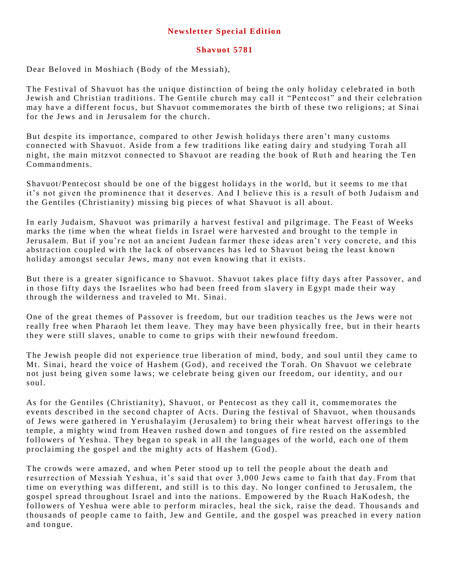# **Newsletter Special Edition**

#### **Shav uot 5781**

Dear Beloved in Moshiach (Body of the Messiah),

The Festival of Shavuot has the unique distinction of being the only holiday celebrated in both Jewish and Christian traditions. The Gentile church may call it "Pentecost" and their celebration may have a different focus, but Shavuot commemorates the birth of these two religions; at Sinai for the Jews and in Jerusalem for the church.

But despite its importance, compared to other Jewish holidays there aren't many customs connected with Shavuot. Aside from a few traditions like eating dairy and studying Torah all night, the main mitzvot connected to Shavuot are reading the book of Ruth and hearing the Ten Comma ndments.

Shavuot/Pentecost should be one of the biggest holidays in the world, but it seems to me that it's not given the prominence that it deserves. And I believe this is a result of both Judaism and the Gentiles (Christianity) missing big pieces of what Shavuot is all about.

In early Judaism, Shavuot was primarily a harvest festival and pilgrimage. The Feast of Weeks marks the time when the wheat fields in Israel were harvested and brought to the temple in Jerusalem. But if you're not an ancient Judean farmer these ideas aren't very concrete, and this abstraction coupled with the lack of observances has led to Shavuot being the least known holiday amongst secular Jews, many not even knowing that it exists.

But there is a greater significance to Shavuot. Shavuot takes place fifty days after Passover, and in those fifty days the Israelites who had been freed from slavery in Egypt made their way through the wilderness and traveled to Mt. Sinai.

One of the great themes of Passover is freedom, but our tradition teaches us the Jews were not really free when Pharaoh let them leave. They may have been physically free, but in their hearts they were still slaves, unable to come to grips with their newfound freedom.

The Jewish people did not experience true liberation of mind, body, and soul until they came to Mt. Sinai, heard the voice of Hashem (God), and received the Torah. On Shavuot we celebrate not just being given some laws; we celebrate being given our freedom, our identity, and our soul.

As for the Gentiles (Christianity), Shavuot, or Pentecost as they call it, commemorates the events described in the second chapter of Acts. During the festival of Shavuot, when thousands of Jews were gathered in Yerushalayim (Jerusalem) to bring their wheat harvest offerings to the temple, a mighty wind from Heaven rushed down and tongues of fire rested on the assembled followers of Yeshua. They began to speak in all the languages of the world, each one of them proclaiming the gospel and the mighty acts of Hashem (God).

The crowds were amazed, and when Peter stood up to tell the people about the death and resurrection of Messiah Yeshua, it's said that over 3,000 Jews came to faith that day. From that time on every thing was different, and still is to this day. No longer confined to Jerusalem, the gospel spread throughout Israel and into the nations. Empowered by the Ruach HaKodesh, the followers of Yeshua were able to perform miracles, heal the sick, raise the dead. Thousands and thousands of people came to faith, Jew and Gentile, and the gospel was preached in every nation and tongue.